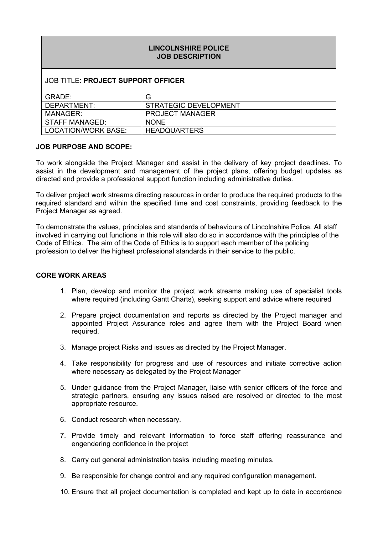## **LINCOLNSHIRE POLICE JOB DESCRIPTION**

### JOB TITLE: **PROJECT SUPPORT OFFICER**

| GRADE:              | G                      |
|---------------------|------------------------|
| DEPARTMENT:         | STRATEGIC DEVELOPMENT  |
| MANAGER:            | <b>PROJECT MANAGER</b> |
| STAFF MANAGED:      | <b>NONE</b>            |
| LOCATION/WORK BASE: | <b>HEADQUARTERS</b>    |

#### **JOB PURPOSE AND SCOPE:**

To work alongside the Project Manager and assist in the delivery of key project deadlines. To assist in the development and management of the project plans, offering budget updates as directed and provide a professional support function including administrative duties.

To deliver project work streams directing resources in order to produce the required products to the required standard and within the specified time and cost constraints, providing feedback to the Project Manager as agreed.

To demonstrate the values, principles and standards of behaviours of Lincolnshire Police. All staff involved in carrying out functions in this role will also do so in accordance with the principles of the Code of Ethics. The aim of the Code of Ethics is to support each member of the policing profession to deliver the highest professional standards in their service to the public.

#### **CORE WORK AREAS**

- 1. Plan, develop and monitor the project work streams making use of specialist tools where required (including Gantt Charts), seeking support and advice where required
- 2. Prepare project documentation and reports as directed by the Project manager and appointed Project Assurance roles and agree them with the Project Board when required.
- 3. Manage project Risks and issues as directed by the Project Manager.
- 4. Take responsibility for progress and use of resources and initiate corrective action where necessary as delegated by the Project Manager
- 5. Under guidance from the Project Manager, liaise with senior officers of the force and strategic partners, ensuring any issues raised are resolved or directed to the most appropriate resource.
- 6. Conduct research when necessary.
- 7. Provide timely and relevant information to force staff offering reassurance and engendering confidence in the project
- 8. Carry out general administration tasks including meeting minutes.
- 9. Be responsible for change control and any required configuration management.
- 10. Ensure that all project documentation is completed and kept up to date in accordance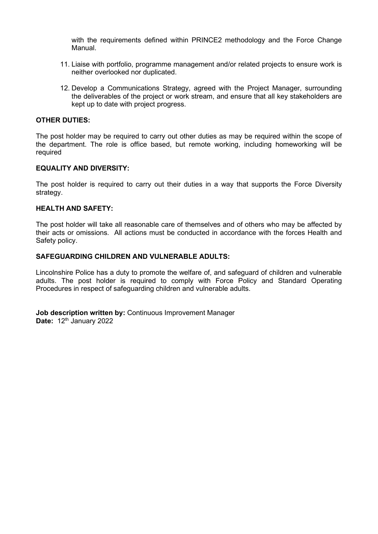with the requirements defined within PRINCE2 methodology and the Force Change Manual.

- 11. Liaise with portfolio, programme management and/or related projects to ensure work is neither overlooked nor duplicated.
- 12. Develop a Communications Strategy, agreed with the Project Manager, surrounding the deliverables of the project or work stream, and ensure that all key stakeholders are kept up to date with project progress.

#### **OTHER DUTIES:**

The post holder may be required to carry out other duties as may be required within the scope of the department. The role is office based, but remote working, including homeworking will be required

#### **EQUALITY AND DIVERSITY:**

The post holder is required to carry out their duties in a way that supports the Force Diversity strategy.

#### **HEALTH AND SAFETY:**

The post holder will take all reasonable care of themselves and of others who may be affected by their acts or omissions. All actions must be conducted in accordance with the forces Health and Safety policy.

#### **SAFEGUARDING CHILDREN AND VULNERABLE ADULTS:**

Lincolnshire Police has a duty to promote the welfare of, and safeguard of children and vulnerable adults. The post holder is required to comply with Force Policy and Standard Operating Procedures in respect of safeguarding children and vulnerable adults.

**Job description written by:** Continuous Improvement Manager **Date:** 12<sup>th</sup> January 2022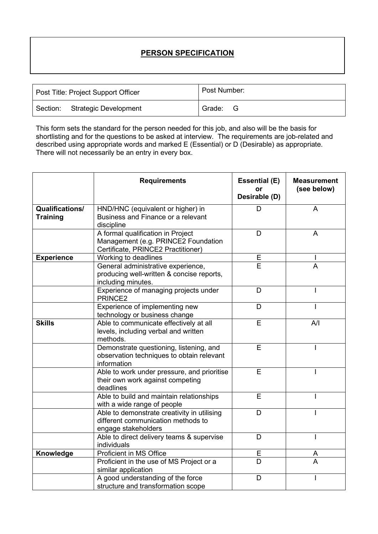# **PERSON SPECIFICATION**

| Post Title: Project Support Officer | Post Number: |  |
|-------------------------------------|--------------|--|
| Section: Strategic Development      | Grade: G     |  |

This form sets the standard for the person needed for this job, and also will be the basis for shortlisting and for the questions to be asked at interview. The requirements are job-related and described using appropriate words and marked E (Essential) or D (Desirable) as appropriate. There will not necessarily be an entry in every box.

|                                           | <b>Requirements</b>                                                                                            | <b>Essential (E)</b><br>or<br>Desirable (D) | <b>Measurement</b><br>(see below) |
|-------------------------------------------|----------------------------------------------------------------------------------------------------------------|---------------------------------------------|-----------------------------------|
| <b>Qualifications/</b><br><b>Training</b> | HND/HNC (equivalent or higher) in<br>Business and Finance or a relevant<br>discipline                          |                                             | A                                 |
|                                           | A formal qualification in Project<br>Management (e.g. PRINCE2 Foundation<br>Certificate, PRINCE2 Practitioner) | D                                           | A                                 |
| <b>Experience</b>                         | Working to deadlines                                                                                           | E                                           |                                   |
|                                           | General administrative experience,<br>producing well-written & concise reports,<br>including minutes.          | E                                           | A                                 |
|                                           | Experience of managing projects under<br>PRINCE <sub>2</sub>                                                   | D                                           |                                   |
|                                           | Experience of implementing new<br>technology or business change                                                | D                                           |                                   |
| <b>Skills</b>                             | Able to communicate effectively at all<br>levels, including verbal and written<br>methods.                     | E                                           | A/I                               |
|                                           | Demonstrate questioning, listening, and<br>observation techniques to obtain relevant<br>information            | E                                           |                                   |
|                                           | Able to work under pressure, and prioritise<br>their own work against competing<br>deadlines                   | E                                           |                                   |
|                                           | Able to build and maintain relationships<br>with a wide range of people                                        | E                                           |                                   |
|                                           | Able to demonstrate creativity in utilising<br>different communication methods to<br>engage stakeholders       | D                                           |                                   |
|                                           | Able to direct delivery teams & supervise<br>individuals                                                       | D                                           | L                                 |
| Knowledge                                 | Proficient in MS Office                                                                                        | E                                           | A                                 |
|                                           | Proficient in the use of MS Project or a<br>similar application                                                | D                                           | A                                 |
|                                           | A good understanding of the force<br>structure and transformation scope                                        | D                                           |                                   |